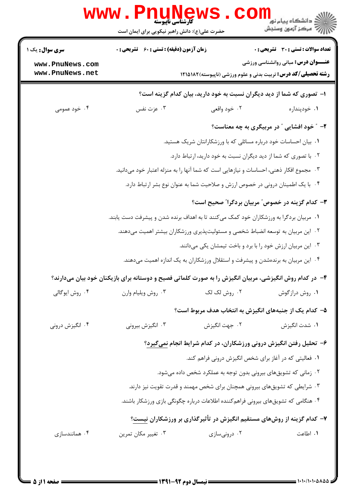|                                                   | <b>www.PnuNews</b><br>كارشناسي ناپيوسته                                                                                                                                   |               | ڪ دانشڪاه پيا <sub>م</sub> نور ■<br>/> مرڪز آزمون وسنڊش                           |  |  |
|---------------------------------------------------|---------------------------------------------------------------------------------------------------------------------------------------------------------------------------|---------------|-----------------------------------------------------------------------------------|--|--|
|                                                   | حضرت علی(ع): دانش راهبر نیکویی برای ایمان است                                                                                                                             |               |                                                                                   |  |  |
| سری سوال: یک ۱                                    | <b>زمان آزمون (دقیقه) : تستی : 60 ٪ تشریحی : 0</b>                                                                                                                        |               | <b>تعداد سوالات : تستی : 30 ٪ تشریحی : 0</b>                                      |  |  |
| www.PnuNews.com                                   |                                                                                                                                                                           |               | <b>عنـــوان درس:</b> مبانی روانشناسی ورزشی                                        |  |  |
| www.PnuNews.net                                   |                                                                                                                                                                           |               | <b>رشته تحصیلی/کد درس:</b> تربیت بدنی و علوم ورزشی (ناپیوسته)۱۸۲۵۱۸۲              |  |  |
|                                                   |                                                                                                                                                                           |               | ا– تصوری که شما از دید دیگران نسبت به خود دارید، بیان کدام گزینه است؟             |  |  |
| ۰۴ خود عمومی                                      | ۰۳ عزت نفس                                                                                                                                                                | ۰۲ خود واقعی  | ۰۱ خودپنداره                                                                      |  |  |
|                                                   |                                                                                                                                                                           |               | ۲- ″ خود افشایی ″ در مربیگری به چه معناست؟                                        |  |  |
|                                                   | ۰۱ بیان احساسات خود درباره مسائلی که با ورزشکارانتان شریک هستید.<br>۰۲ با تصوری که شما از دید دیگران نسبت به خود دارید، ارتباط دارد.                                      |               |                                                                                   |  |  |
|                                                   |                                                                                                                                                                           |               |                                                                                   |  |  |
|                                                   | ۰۳ مجموع افکار ذهنی، احساسات و نیازهایی است که شما آنها را به منزله اعتبار خود میدانید.                                                                                   |               |                                                                                   |  |  |
|                                                   |                                                                                                                                                                           |               | ۰۴ با یک اطمینان درونی در خصوص ارزش و صلاحیت شما به عنوان نوع بشر ارتباط دارد.    |  |  |
| ۳- کدام گزینه در خصوص ً مربیان بردگرا ً صحیح است؟ |                                                                                                                                                                           |               |                                                                                   |  |  |
|                                                   | ۰۱ مربیان بردگرا به ورزشکاران خود کمک میکنند تا به اهداف برنده شدن و پیشرفت دست یابند.<br>۰۲ این مربیان به توسعه انضباط شخصی و مسئولیتپذیری ورزشکاران بیشتر اهمیت میدهند. |               |                                                                                   |  |  |
|                                                   |                                                                                                                                                                           |               |                                                                                   |  |  |
|                                                   |                                                                                                                                                                           |               | ۰۳ این مربیان ارزش خود را با برد و باخت تیمشان یکی میدانند.                       |  |  |
|                                                   |                                                                                                                                                                           |               | ۰۴ این مربیان به برندهشدن و پیشرفت و استقلال ورزشکاران به یک اندازه اهمیت میدهند. |  |  |
|                                                   | ۴– در کدام روش انگیزشی، مربیان انگیزش را به صورت کلماتی فصیح و دوستانه برای بازیکنان خود بیان میدارند؟                                                                    |               |                                                                                   |  |  |
| ۰۴ روش ايوگالي                                    | ۰۳ روش ويليام وارن                                                                                                                                                        | ۰۲ روش لک لک  | ۰۱ روش درازگوش                                                                    |  |  |
|                                                   |                                                                                                                                                                           |               | ۵– کدام یک از جنبههای انگیزش به انتخاب هدف مربوط است؟                             |  |  |
| ۰۴ انگیزش درونی                                   | ۰۳ انگیزش بیرونی                                                                                                                                                          | ۰۲ جهت انگیزش | ٠١. شدت انگيزش                                                                    |  |  |
|                                                   | ۶– تحلیل رفتن انگیزش درونی ورزشکاران، در کدام شرایط انجام نمیگیرد؟                                                                                                        |               |                                                                                   |  |  |
|                                                   | ۱. فعالیتی که در آغاز برای شخص انگیزش درونی فراهم کند.                                                                                                                    |               |                                                                                   |  |  |
|                                                   | ۰۲ زمانی که تشویقهای بیرونی بدون توجه به عملکرد شخص داده میشود.                                                                                                           |               |                                                                                   |  |  |
|                                                   | ۰۳ شرایطی که تشویقهای بیرونی همچنان برای شخص مهمند و قدرت تقویت نیز دارند.                                                                                                |               |                                                                                   |  |  |
|                                                   | ۰۴ هنگامی که تشویقهای بیرونی فراهم <i>ک</i> ننده اطلاعات درباره چگونگی بازی ورزشکار باشند.                                                                                |               |                                                                                   |  |  |
|                                                   |                                                                                                                                                                           |               | ۷- کدام گزینه از روشهای مستقیم انگیزش در تأثیرگذاری بر ورزشکاران نیست؟            |  |  |
| ۰۴ همانندسازی                                     | ۰۳ تغییر مکان تمرین                                                                                                                                                       | ۰۲ درونیسازی  | ٠. اطاعت                                                                          |  |  |
|                                                   |                                                                                                                                                                           |               |                                                                                   |  |  |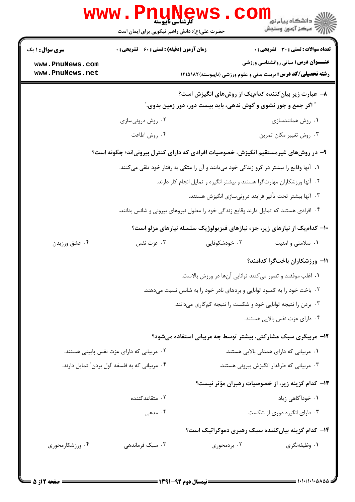|                                                                                                                               | <b>WWW . F</b><br>uunev<br><b>کارشناسی ناپیوسته</b><br>حضرت علی(ع): دانش راهبر نیکویی برای ایمان است |               | ≦ دانشگاه پیام نو <mark>ر</mark><br>رآه مرکز آزمون وسنجش                                                           |  |
|-------------------------------------------------------------------------------------------------------------------------------|------------------------------------------------------------------------------------------------------|---------------|--------------------------------------------------------------------------------------------------------------------|--|
| <b>سری سوال : ۱ یک</b>                                                                                                        | <b>زمان آزمون (دقیقه) : تستی : 60 ٪ تشریحی : 0</b>                                                   |               | تعداد سوالات : تستى : 30 - تشريحي : 0                                                                              |  |
| www.PnuNews.com<br>www.PnuNews.net                                                                                            |                                                                                                      |               | <b>عنـــوان درس:</b> مبانی روانشناسی ورزشی<br><b>رشته تحصیلی/کد درس:</b> تربیت بدنی و علوم ورزشی (ناپیوسته)۱۸۲۵۱۸۲ |  |
| ۸− عبارت زیر بیانکننده کدامیک از روشهای انگیزش است؟<br><b>" اگر جمع و جور نشوی و گوش ندهی، باید بیست دور، دور زمین بدوی."</b> |                                                                                                      |               |                                                                                                                    |  |
|                                                                                                                               | ۰۲ روش درونیسازی                                                                                     |               | ۰۱ روش همانندسازی                                                                                                  |  |
|                                                                                                                               | ۰۴ روش اطاعت                                                                                         |               | ۰۳ روش تغییر مکان تمرین                                                                                            |  |
|                                                                                                                               |                                                                                                      |               | ۹- در روشهای غیرمستقیم انگیزش، خصوصیات افرادی که دارای کنترل بیرونیاند؛ چگونه است؟                                 |  |
|                                                                                                                               |                                                                                                      |               | ۰۱ آنها وقایع را بیشتر در گرو زندگی خود میدانند و آن را متکی به رفتار خود تلقی میکنند.                             |  |
| ۰۲ آنها ورزشکاران مهارتگرا هستند و بیشتر انگیزه و تمایل انجام کار دارند.                                                      |                                                                                                      |               |                                                                                                                    |  |
|                                                                                                                               |                                                                                                      |               | ۰۳ آنها بیشتر تحت تأثیر فرایند درونیسازی انگیزش هستند.                                                             |  |
|                                                                                                                               |                                                                                                      |               | ۰۴ افرادی هستند که تمایل دارند وقایع زندگی خود را معلول نیروهای بیرونی و شانس بدانند.                              |  |
|                                                                                                                               |                                                                                                      |               | ∙۱- کدامیک از نیازهای زیر، جزء نیازهای فیزیولوژیک سلسله نیازهای مزلو است؟                                          |  |
| ۰۴ عشق ورزيدن                                                                                                                 | عزت نفس $\cdot$ ۳ .                                                                                  | ۰۲ خودشکوفایی | ۰۱ سلامتی و امنیت                                                                                                  |  |
|                                                                                                                               |                                                                                                      |               | 11– ورزشکاران باختگرا کدامند؟                                                                                      |  |
|                                                                                                                               |                                                                                                      |               | ٠١ اغلب موفقند و تصور مي كنند توانايي آنها در ورزش بالاست.                                                         |  |
|                                                                                                                               |                                                                                                      |               | ۰۲ باخت خود را به کمبود توانایی و بردهای نادر خود را به شانس نسبت میدهند.                                          |  |
| ۰۳ بردن را نتیجه توانایی خود و شکست را نتیجه کمکاری میدانند.                                                                  |                                                                                                      |               |                                                                                                                    |  |
|                                                                                                                               |                                                                                                      |               | ۰۴ دارای عزت نفس بالایی هستند.                                                                                     |  |
|                                                                                                                               |                                                                                                      |               | ۱۲- مربیگری سبک مشارکتی، بیشتر توسط چه مربیانی استفاده میشود؟                                                      |  |
|                                                                                                                               | ۰۲ مربیانی که دارای عزت نفس پایینی هستند.                                                            |               | ۰۱ مربیانی که دارای همدلی بالایی هستند.                                                                            |  |
|                                                                                                                               | ۰۴ مربیانی که به فلسفه "اول بردن" تمایل دارند.                                                       |               | ۰۳ مربیانی که طرفدار انگیزش بیرونی هستند.                                                                          |  |
|                                                                                                                               |                                                                                                      |               | ۱۳– کدام گزینه زیر، از خصوصیات رهبران مؤثر نیست؟                                                                   |  |
|                                                                                                                               | ۰۲ متقاعدکننده                                                                                       |               | ۰۱ خودآگاهی زیاد                                                                                                   |  |
|                                                                                                                               | ۰۴ مدعی                                                                                              |               | ۰۳ دارای انگیزه دوری از شکست                                                                                       |  |
|                                                                                                                               |                                                                                                      |               | <b>۱۴</b> - کدام گزینه بیانکننده سبک رهبری دموکراتیک است؟                                                          |  |
| ۰۴ ورزشکارمحوری                                                                                                               | ۰۳ سبک فرماندهی                                                                                      | ۰۲ بردمحوری   | ۰۱ وظیفهنگری                                                                                                       |  |
|                                                                                                                               |                                                                                                      |               |                                                                                                                    |  |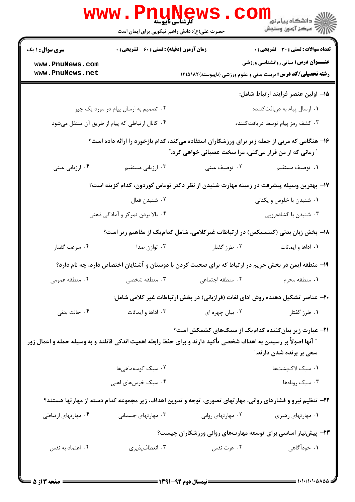|                                                                                        | <b>کارشناسی ناپیوسته</b><br>حضرت علی(ع): دانش راهبر نیکویی برای ایمان است                                                                               |                                                                                                                  | ڪ دانشڪاه پيا <sub>م</sub> نور<br><mark>√</mark> مرڪز آزمون وسنڊش    |  |  |
|----------------------------------------------------------------------------------------|---------------------------------------------------------------------------------------------------------------------------------------------------------|------------------------------------------------------------------------------------------------------------------|----------------------------------------------------------------------|--|--|
| <b>سری سوال : ۱ یک</b>                                                                 | <b>زمان آزمون (دقیقه) : تستی : 60 ٪ تشریحی : 0</b>                                                                                                      |                                                                                                                  | <b>تعداد سوالات : تستی : 30 ٪ تشریحی : 0</b>                         |  |  |
| www.PnuNews.com                                                                        |                                                                                                                                                         |                                                                                                                  | <b>عنـــوان درس:</b> مبانی روانشناسی ورزشی                           |  |  |
| www.PnuNews.net                                                                        |                                                                                                                                                         |                                                                                                                  | <b>رشته تحصیلی/کد درس:</b> تربیت بدنی و علوم ورزشی (ناپیوسته)۱۸۲۵۱۸۲ |  |  |
|                                                                                        |                                                                                                                                                         |                                                                                                                  | 1۵– اولین عنصر فرایند ارتباط شامل:                                   |  |  |
|                                                                                        | ۰۲ تصمیم به ارسال پیام در مورد یک چیز                                                                                                                   |                                                                                                                  | ۰۱ ارسال پیام به دریافتکننده                                         |  |  |
|                                                                                        | ۰۴ کانال ارتباطی که پیام از طریق آن منتقل میشود                                                                                                         |                                                                                                                  | ۰۳ کشف رمز پیام توسط دریافتکننده                                     |  |  |
|                                                                                        | ۱۶- هنگامی که مربی از جمله زیر برای ورزشکاران استفاده میکند، کدام بازخورد را ارائه داده است؟<br>" زمانی که از من فرار میکنی، مرا سخت عصبانی خواهی کرد." |                                                                                                                  |                                                                      |  |  |
| ۰۴ ارزیابی عینی                                                                        | ۰۳ ارزیابی مستقیم                                                                                                                                       | ۰۲ توصیف عینی                                                                                                    | ٠١ توصيف مستقيم                                                      |  |  |
| ۱۷– بهترین وسیله پیشرفت در زمینه مهارت شنیدن از نظر دکتر توماس گوردون، کدام گزینه است؟ |                                                                                                                                                         |                                                                                                                  |                                                                      |  |  |
|                                                                                        | ۰۲ شنیدن فعال                                                                                                                                           |                                                                                                                  | ۰۱ شنیدن با خلوص و یکدلی                                             |  |  |
|                                                                                        | ۰۴ بالا بردن تمرکز و آمادگی ذهنی                                                                                                                        |                                                                                                                  | ۰۳ شنیدن با گشادهرویی                                                |  |  |
|                                                                                        |                                                                                                                                                         | ۱۸- بخش زبان بدنی (کینسیکس) در ارتباطات غیرکلامی، شامل کدامیک از مفاهیم زیر است؟                                 |                                                                      |  |  |
| ۰۴ سرعت گفتار                                                                          | ۰۳ توازن صدا                                                                                                                                            | ۰۲ طرز گفتار                                                                                                     | ۰۱ اداها و ایمائات                                                   |  |  |
|                                                                                        |                                                                                                                                                         | ۱۹- منطقه ایمن در بخش حریم در ارتباط که برای صحبت کردن با دوستان و آشنایان اختصاص دارد، چه نام دارد؟             |                                                                      |  |  |
| ۰۴ منطقه عمومی                                                                         | ۰۳ منطقه شخصی                                                                                                                                           | ۰۲ منطقه اجتما <i>عی</i>                                                                                         | ۰۱ منطقه محرم                                                        |  |  |
|                                                                                        |                                                                                                                                                         | +۲- عناصر تشکیل دهنده روش ادای لغات (فرازبانی) در بخش ارتباطات غیر کلامی شامل:                                   |                                                                      |  |  |
| ۰۴ حالت بدنی                                                                           | ۰۳ اداها و ایمائات                                                                                                                                      | ۰۲ بیان چهره ای                                                                                                  | ۰۱ طرز گفتار                                                         |  |  |
|                                                                                        |                                                                                                                                                         | <b>۲۱</b> – عبارت زیر بیانکننده کدامیک از سبکهای کشمکش است؟                                                      |                                                                      |  |  |
|                                                                                        |                                                                                                                                                         | ″ آنها اصولاً بر رسیدن به اهداف شخصی تأکید دارند و برای حفظ رابطه اهمیت اندکی قائلند و به وسیله حمله و اعمال زور | سعی بر برنده شدن دارند."                                             |  |  |
|                                                                                        | ۰۲ سبک کوسهماهیها                                                                                                                                       |                                                                                                                  | ٠١ سبک لاکپشتها                                                      |  |  |
|                                                                                        | ۰۴ سبک خرسهای اهلی                                                                                                                                      |                                                                                                                  | ۰۳ سبک روباهها                                                       |  |  |
|                                                                                        |                                                                                                                                                         | ۲۲– تنظیم نیرو و فشارهای روانی، مهارتهای تصوری، توجه و تدوین اهداف، زیر مجموعه کدام دسته از مهارتها هستند؟       |                                                                      |  |  |
| ۰۴ مهارتهای ارتباطی                                                                    | ۰۳ مهارتهای جسمانی                                                                                                                                      | ۰۲ مهارتهای روانی                                                                                                | ۰۱ مهارتهای رهبری                                                    |  |  |
|                                                                                        |                                                                                                                                                         | ۲۳- پیشنیاز اساسی برای توسعه مهارتهای روانی ورزشکاران چیست؟                                                      |                                                                      |  |  |
| ۰۴ اعتماد به نفس                                                                       | ۰۳ انعطافپذیری                                                                                                                                          | ۰۲ عزت نفس                                                                                                       | ۰۱ خودآگاهی                                                          |  |  |
|                                                                                        |                                                                                                                                                         |                                                                                                                  |                                                                      |  |  |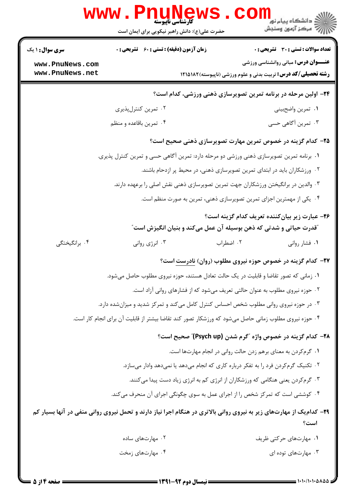|                                                                                          | <b>WWW.Pnungv</b><br>حضرت علی(ع): دانش راهبر نیکویی برای ایمان است                                                  |                                                                | لاد دانشگاه پيام نور <mark>--</mark><br>   > مرکز آزمون وسنجش        |  |  |
|------------------------------------------------------------------------------------------|---------------------------------------------------------------------------------------------------------------------|----------------------------------------------------------------|----------------------------------------------------------------------|--|--|
| <b>سری سوال : ۱ یک</b>                                                                   | <b>زمان آزمون (دقیقه) : تستی : 60 ٪ تشریحی : 0</b>                                                                  |                                                                | <b>تعداد سوالات : تستی : 30 ٪ تشریحی : 0</b>                         |  |  |
| www.PnuNews.com                                                                          |                                                                                                                     |                                                                | <b>عنـــوان درس:</b> مبانی روانشناسی ورزشی                           |  |  |
| www.PnuNews.net                                                                          |                                                                                                                     |                                                                | <b>رشته تحصیلی/کد درس:</b> تربیت بدنی و علوم ورزشی (ناپیوسته)۱۸۲۵۱۸۲ |  |  |
|                                                                                          |                                                                                                                     |                                                                | ۲۴- اولین مرحله در برنامه تمرین تصویرسازی ذهنی ورزشی، کدام است؟      |  |  |
|                                                                                          | ۰۲ تمرین کنترلپذیری                                                                                                 |                                                                | ٠١ تمرين واضحبيني                                                    |  |  |
|                                                                                          | ۰۴ تمرین باقاعده و منظم                                                                                             |                                                                | ۰۳ تمرین آگاهی حسی                                                   |  |  |
|                                                                                          | ۲۵- کدام گزینه در خصوص تمرین مهارت تصویرسازی ذهنی صحیح است؟                                                         |                                                                |                                                                      |  |  |
| ۰۱ برنامه تمرین تصویرسازی ذهنی ورزشی دو مرحله دارد: تمرین آگاهی حسی و تمرین کنترل پذیری. |                                                                                                                     |                                                                |                                                                      |  |  |
|                                                                                          | ۰۲ ورزشکاران باید در ابتدای تمرین تصویرسازی ذهنی، در محیط پر ازدحام باشند.                                          |                                                                |                                                                      |  |  |
|                                                                                          | ۰۳ والدین در برانگیختن ورزشکاران جهت تمرین تصویرسازی ذهنی نقش اصلی را برعهده دارند.                                 |                                                                |                                                                      |  |  |
|                                                                                          | ۰۴ یکی از مهمترین اجزای تمرین تصویرسازی ذهنی، تمرین به صورت منظم است.                                               |                                                                |                                                                      |  |  |
|                                                                                          | "قدرت حیاتی و شدتی که ذهن بوسیله آن عمل میکند و بنیان انگیزش است"                                                   |                                                                | ۲۶- عبارت زیر بیانکننده تعریف کدام گزینه است؟                        |  |  |
| ۰۴ برانگیختگی                                                                            | ۰۳ انرژی روانی                                                                                                      | ۰۲ اضطراب                                                      | ۰۱ فشار روانی                                                        |  |  |
|                                                                                          |                                                                                                                     |                                                                | <b>۲۷- کدام گزینه در خصوص حوزه نیروی مطلوب (روان) نادرست است؟</b>    |  |  |
| ٠١ زماني كه تصور تقاضا و قابليت در يک حالت تعادل هستند، حوزه نيروي مطلوب حاصل ميشود.     |                                                                                                                     |                                                                |                                                                      |  |  |
|                                                                                          | ۰۲ حوزه نیروی مطلوب به عنوان حالتی تعریف میشود که از فشارهای روانی آزاد است.                                        |                                                                |                                                                      |  |  |
|                                                                                          | ۰۳ در حوزه نیروی روانی مطلوب شخص احساس کنترل کامل میکند و تمرکز شدید و میزان شده دارد.                              |                                                                |                                                                      |  |  |
|                                                                                          | ۰۴ حوزه نیروی مطلوب زمانی حاصل میشود که ورزشکار تصور کند تقاضا بیشتر از قابلیت آن برای انجام کار است.               |                                                                |                                                                      |  |  |
|                                                                                          |                                                                                                                     |                                                                | ۲۸– کدام گزینه در خصوص واژه "گرم شدن (Psych up)" صحیح است؟           |  |  |
|                                                                                          |                                                                                                                     | ٠١ گرم كردن به معناي برهم زدن حالت رواني در انجام مهارتها است. |                                                                      |  |  |
| ۰۲ تکنیک گرمکردن فرد را به تفکر درباره کاری که انجام میدهد یا نمیدهد وادار میسازد.       |                                                                                                                     |                                                                |                                                                      |  |  |
|                                                                                          | ۰۳ گرم کردن یعنی هنگامی که ورزشکاران از انرژی کم به انرژی زیاد دست پیدا میکنند.                                     |                                                                |                                                                      |  |  |
|                                                                                          | ۰۴ کوششی است که تمرکز شخص را از اجرای عمل به سوی چگونگی اجرای آن منحرف میکند.                                       |                                                                |                                                                      |  |  |
|                                                                                          | ۲۹- کدامیک از مهارتهای زیر به نیروی روانی بالاتری در هنگام اجرا نیاز دارند و تحمل نیروی روانی منفی در آنها بسیار کم |                                                                | است؟                                                                 |  |  |
|                                                                                          | ۰۲ مهارتهای ساده                                                                                                    |                                                                | ۰۱ مهارتهای حرکتی ظریف                                               |  |  |
|                                                                                          | ۰۴ مهارتهای زمخت                                                                                                    |                                                                | ۰۳ مهارتهای توده ای                                                  |  |  |
|                                                                                          |                                                                                                                     |                                                                |                                                                      |  |  |

**DESIMATE**